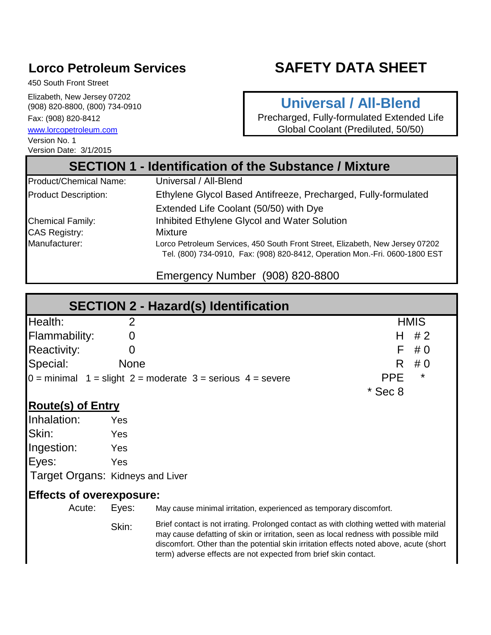# **Lorco Petroleum Services**

# **SAFETY DATA SHEET**

450 South Front Street

Elizabeth, New Jersey 07202 (908) 820-8800, (800) 734-0910 Fax: (908) 820-8412

Version Date: 3/1/2015 [www.lorcop](http://www.lorcopetroleum.com/)etroleum.com Version No. 1

# **Universal / All-Blend**

Precharged, Fully-formulated Extended Life Global Coolant (Prediluted, 50/50)

# **SECTION 1 - Identification of the Substance / Mixture**

| Product/Chemical Name:      | Universal / All-Blend                                                                                                                                        |
|-----------------------------|--------------------------------------------------------------------------------------------------------------------------------------------------------------|
| <b>Product Description:</b> | Ethylene Glycol Based Antifreeze, Precharged, Fully-formulated                                                                                               |
|                             | Extended Life Coolant (50/50) with Dye                                                                                                                       |
| <b>Chemical Family:</b>     | Inhibited Ethylene Glycol and Water Solution                                                                                                                 |
| <b>CAS Registry:</b>        | Mixture                                                                                                                                                      |
| Manufacturer:               | Lorco Petroleum Services, 450 South Front Street, Elizabeth, New Jersey 07202<br>Tel. (800) 734-0910, Fax: (908) 820-8412, Operation Mon.-Fri. 0600-1800 EST |

Emergency Number (908) 820-8800

|                                  |                                 | <b>SECTION 2 - Hazard(s) Identification</b>                                                                                                                                                                                                                                                                                                |                        |
|----------------------------------|---------------------------------|--------------------------------------------------------------------------------------------------------------------------------------------------------------------------------------------------------------------------------------------------------------------------------------------------------------------------------------------|------------------------|
| Health:                          | 2                               |                                                                                                                                                                                                                                                                                                                                            | <b>HMIS</b>            |
| <b>Flammability:</b>             | 0                               |                                                                                                                                                                                                                                                                                                                                            | #2<br>н                |
| <b>Reactivity:</b>               | $\overline{0}$                  |                                                                                                                                                                                                                                                                                                                                            | F<br>#0                |
| Special:                         | <b>None</b>                     |                                                                                                                                                                                                                                                                                                                                            | R<br>#0                |
|                                  |                                 | $0 =$ minimal $1 =$ slight $2 =$ moderate $3 =$ serious $4 =$ severe                                                                                                                                                                                                                                                                       | $^\star$<br><b>PPE</b> |
|                                  |                                 |                                                                                                                                                                                                                                                                                                                                            | $*$ Sec 8              |
| <b>Route(s) of Entry</b>         |                                 |                                                                                                                                                                                                                                                                                                                                            |                        |
| Inhalation:                      | Yes                             |                                                                                                                                                                                                                                                                                                                                            |                        |
| Skin:                            | Yes                             |                                                                                                                                                                                                                                                                                                                                            |                        |
| Ingestion:                       | Yes                             |                                                                                                                                                                                                                                                                                                                                            |                        |
| Eyes:                            | Yes                             |                                                                                                                                                                                                                                                                                                                                            |                        |
| Target Organs: Kidneys and Liver |                                 |                                                                                                                                                                                                                                                                                                                                            |                        |
|                                  | <b>Effects of overexposure:</b> |                                                                                                                                                                                                                                                                                                                                            |                        |
| Acute:                           | Eyes:                           | May cause minimal irritation, experienced as temporary discomfort.                                                                                                                                                                                                                                                                         |                        |
|                                  | Skin:                           | Brief contact is not irrating. Prolonged contact as with clothing wetted with material<br>may cause defatting of skin or irritation, seen as local redness with possible mild<br>discomfort. Other than the potential skin irritation effects noted above, acute (short<br>term) adverse effects are not expected from brief skin contact. |                        |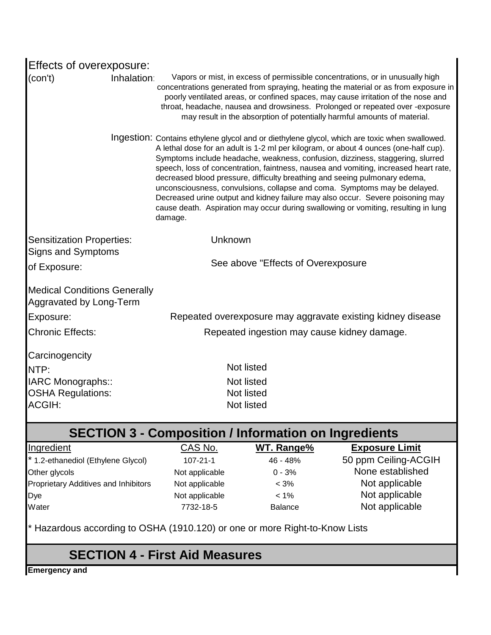| Effects of overexposure:                                                    |                                                             |                                             |                                                                                                                                                                                                                                                                                                                                                                                                                                                                                                                                                                                                                                                                                                    |
|-----------------------------------------------------------------------------|-------------------------------------------------------------|---------------------------------------------|----------------------------------------------------------------------------------------------------------------------------------------------------------------------------------------------------------------------------------------------------------------------------------------------------------------------------------------------------------------------------------------------------------------------------------------------------------------------------------------------------------------------------------------------------------------------------------------------------------------------------------------------------------------------------------------------------|
| Inhalation<br>(con't)                                                       |                                                             |                                             | Vapors or mist, in excess of permissible concentrations, or in unusually high<br>concentrations generated from spraying, heating the material or as from exposure in<br>poorly ventilated areas, or confined spaces, may cause irritation of the nose and<br>throat, headache, nausea and drowsiness. Prolonged or repeated over -exposure<br>may result in the absorption of potentially harmful amounts of material.                                                                                                                                                                                                                                                                             |
|                                                                             | damage.                                                     |                                             | Ingestion: Contains ethylene glycol and or diethylene glycol, which are toxic when swallowed.<br>A lethal dose for an adult is 1-2 ml per kilogram, or about 4 ounces (one-half cup).<br>Symptoms include headache, weakness, confusion, dizziness, staggering, slurred<br>speech, loss of concentration, faintness, nausea and vomiting, increased heart rate,<br>decreased blood pressure, difficulty breathing and seeing pulmonary edema,<br>unconsciousness, convulsions, collapse and coma. Symptoms may be delayed.<br>Decreased urine output and kidney failure may also occur. Severe poisoning may<br>cause death. Aspiration may occur during swallowing or vomiting, resulting in lung |
| <b>Sensitization Properties:</b><br>Signs and Symptoms                      | Unknown                                                     |                                             |                                                                                                                                                                                                                                                                                                                                                                                                                                                                                                                                                                                                                                                                                                    |
| of Exposure:                                                                |                                                             | See above "Effects of Overexposure"         |                                                                                                                                                                                                                                                                                                                                                                                                                                                                                                                                                                                                                                                                                                    |
| <b>Medical Conditions Generally</b><br>Aggravated by Long-Term              |                                                             |                                             |                                                                                                                                                                                                                                                                                                                                                                                                                                                                                                                                                                                                                                                                                                    |
| Exposure:                                                                   |                                                             |                                             | Repeated overexposure may aggravate existing kidney disease                                                                                                                                                                                                                                                                                                                                                                                                                                                                                                                                                                                                                                        |
| <b>Chronic Effects:</b>                                                     |                                                             | Repeated ingestion may cause kidney damage. |                                                                                                                                                                                                                                                                                                                                                                                                                                                                                                                                                                                                                                                                                                    |
| Carcinogencity                                                              |                                                             |                                             |                                                                                                                                                                                                                                                                                                                                                                                                                                                                                                                                                                                                                                                                                                    |
| NTP:                                                                        |                                                             | Not listed                                  |                                                                                                                                                                                                                                                                                                                                                                                                                                                                                                                                                                                                                                                                                                    |
| IARC Monographs::                                                           |                                                             | Not listed                                  |                                                                                                                                                                                                                                                                                                                                                                                                                                                                                                                                                                                                                                                                                                    |
| <b>OSHA Regulations:</b><br><b>ACGIH:</b>                                   |                                                             | Not listed<br>Not listed                    |                                                                                                                                                                                                                                                                                                                                                                                                                                                                                                                                                                                                                                                                                                    |
|                                                                             | <b>SECTION 3 - Composition / Information on Ingredients</b> |                                             |                                                                                                                                                                                                                                                                                                                                                                                                                                                                                                                                                                                                                                                                                                    |
| Ingredient                                                                  | CAS No.                                                     | WT. Range%                                  | <b>Exposure Limit</b>                                                                                                                                                                                                                                                                                                                                                                                                                                                                                                                                                                                                                                                                              |
| * 1.2-ethanediol (Ethylene Glycol)                                          | $107 - 21 - 1$                                              | 46 - 48%                                    | 50 ppm Ceiling-ACGIH                                                                                                                                                                                                                                                                                                                                                                                                                                                                                                                                                                                                                                                                               |
| Other glycols                                                               | Not applicable                                              | $0 - 3%$                                    | None established                                                                                                                                                                                                                                                                                                                                                                                                                                                                                                                                                                                                                                                                                   |
| <b>Proprietary Additives and Inhibitors</b>                                 | Not applicable                                              | $< 3\%$                                     | Not applicable                                                                                                                                                                                                                                                                                                                                                                                                                                                                                                                                                                                                                                                                                     |
| Dye                                                                         | Not applicable                                              | $< 1\%$                                     | Not applicable                                                                                                                                                                                                                                                                                                                                                                                                                                                                                                                                                                                                                                                                                     |
| Water                                                                       | 7732-18-5                                                   | Balance                                     | Not applicable                                                                                                                                                                                                                                                                                                                                                                                                                                                                                                                                                                                                                                                                                     |
| * Hazardous according to OSHA (1910.120) or one or more Right-to-Know Lists |                                                             |                                             |                                                                                                                                                                                                                                                                                                                                                                                                                                                                                                                                                                                                                                                                                                    |
|                                                                             | <b>SECTION 4 - First Aid Measures</b>                       |                                             |                                                                                                                                                                                                                                                                                                                                                                                                                                                                                                                                                                                                                                                                                                    |
| <b>Emergency and</b>                                                        |                                                             |                                             |                                                                                                                                                                                                                                                                                                                                                                                                                                                                                                                                                                                                                                                                                                    |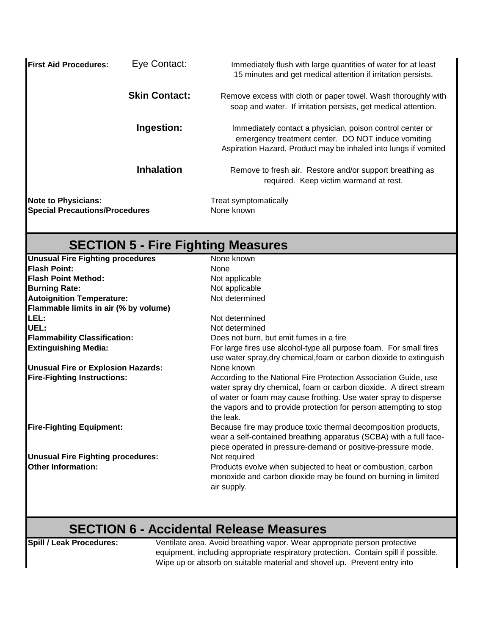| <b>IFirst Aid Procedures:</b>                                       | Eye Contact:         | Immediately flush with large quantities of water for at least<br>15 minutes and get medical attention if irritation persists.                                                      |
|---------------------------------------------------------------------|----------------------|------------------------------------------------------------------------------------------------------------------------------------------------------------------------------------|
|                                                                     | <b>Skin Contact:</b> | Remove excess with cloth or paper towel. Wash thoroughly with<br>soap and water. If irritation persists, get medical attention.                                                    |
|                                                                     | Ingestion:           | Immediately contact a physician, poison control center or<br>emergency treatment center. DO NOT induce vomiting<br>Aspiration Hazard, Product may be inhaled into lungs if vomited |
|                                                                     | <b>Inhalation</b>    | Remove to fresh air. Restore and/or support breathing as<br>required. Keep victim warmand at rest.                                                                                 |
| <b>Note to Physicians:</b><br><b>Special Precautions/Procedures</b> |                      | Treat symptomatically<br>None known                                                                                                                                                |

# **SECTION 5 - Fire Fighting Measures**

| <b>Unusual Fire Fighting procedures</b>  | None known                                                                                                                                                                                                                                                                                   |
|------------------------------------------|----------------------------------------------------------------------------------------------------------------------------------------------------------------------------------------------------------------------------------------------------------------------------------------------|
| <b>Flash Point:</b>                      | None                                                                                                                                                                                                                                                                                         |
| <b>Flash Point Method:</b>               | Not applicable                                                                                                                                                                                                                                                                               |
| <b>Burning Rate:</b>                     | Not applicable                                                                                                                                                                                                                                                                               |
| <b>Autoignition Temperature:</b>         | Not determined                                                                                                                                                                                                                                                                               |
| Flammable limits in air (% by volume)    |                                                                                                                                                                                                                                                                                              |
| LEL:                                     | Not determined                                                                                                                                                                                                                                                                               |
| UEL:                                     | Not determined                                                                                                                                                                                                                                                                               |
| <b>Flammability Classification:</b>      | Does not burn, but emit fumes in a fire                                                                                                                                                                                                                                                      |
| <b>Extinguishing Media:</b>              | For large fires use alcohol-type all purpose foam. For small fires<br>use water spray, dry chemical, foam or carbon dioxide to extinguish                                                                                                                                                    |
| Unusual Fire or Explosion Hazards:       | None known                                                                                                                                                                                                                                                                                   |
| <b>Fire-Fighting Instructions:</b>       | According to the National Fire Protection Association Guide, use<br>water spray dry chemical, foam or carbon dioxide. A direct stream<br>of water or foam may cause frothing. Use water spray to disperse<br>the vapors and to provide protection for person attempting to stop<br>the leak. |
| <b>Fire-Fighting Equipment:</b>          | Because fire may produce toxic thermal decomposition products,<br>wear a self-contained breathing apparatus (SCBA) with a full face-<br>piece operated in pressure-demand or positive-pressure mode.                                                                                         |
| <b>Unusual Fire Fighting procedures:</b> | Not required                                                                                                                                                                                                                                                                                 |
| <b>Other Information:</b>                | Products evolve when subjected to heat or combustion, carbon<br>monoxide and carbon dioxide may be found on burning in limited<br>air supply.                                                                                                                                                |

#### **SECTION 6 - Accidental Release Measures**

**Spill / Leak Procedures:** Ventilate area. Avoid breathing vapor. Wear appropriate person protective equipment, including appropriate respiratory protection. Contain spill if possible. Wipe up or absorb on suitable material and shovel up. Prevent entry into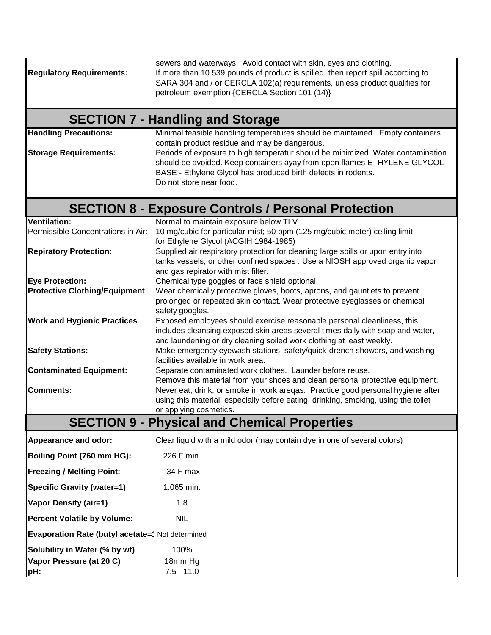sewers and waterways. Avoid contact with skin, eyes and clothing. **Regulatory Requirements:** If more than 10.539 pounds of product is spilled, then report spill according to SARA 304 and / or CERCLA 102(a) requirements, unless product qualifies for petroleum exemption {CERCLA Section 101 (14)}

# **SECTION 7 - Handling and Storage**

**Handling Precautions:** Minimal feasible handling temperatures should be maintained. Empty containers contain product residue and may be dangerous. **Storage Requirements:** Periods of exposure to high temperatur should be minimized. Water contamination should be avoided. Keep containers ayay from open flames ETHYLENE GLYCOL

BASE - Ethylene Glycol has produced birth defects in rodents. Do not store near food.

# **SECTION 8 - Exposure Controls / Personal Protection**

| <b>Ventilation:</b>                  | Normal to maintain exposure below TLV                                              |
|--------------------------------------|------------------------------------------------------------------------------------|
| Permissible Concentrations in Air:   | 10 mg/cubic for particular mist; 50 ppm (125 mg/cubic meter) ceiling limit         |
|                                      | for Ethylene Glycol (ACGIH 1984-1985)                                              |
| <b>Repiratory Protection:</b>        | Supplied air respiratory protection for cleaning large spills or upon entry into   |
|                                      | tanks vessels, or other confined spaces . Use a NIOSH approved organic vapor       |
|                                      | and gas repirator with mist filter.                                                |
| <b>Eye Protection:</b>               | Chemical type goggles or face shield optional                                      |
| <b>Protective Clothing/Equipment</b> | Wear chemically protective gloves, boots, aprons, and gauntlets to prevent         |
|                                      | prolonged or repeated skin contact. Wear protective eyeglasses or chemical         |
|                                      | safety googles.                                                                    |
| <b>Work and Hygienic Practices</b>   | Exposed employees should exercise reasonable personal cleanliness, this            |
|                                      | includes cleansing exposed skin areas several times daily with soap and water,     |
|                                      | and laundening or dry cleaning soiled work clothing at least weekly.               |
| <b>Safety Stations:</b>              | Make emergency eyewash stations, safety/quick-drench showers, and washing          |
|                                      | facilities available in work area.                                                 |
| <b>Contaminated Equipment:</b>       | Separate contaminated work clothes. Launder before reuse.                          |
|                                      | Remove this material from your shoes and clean personal protective equipment.      |
| <b>Comments:</b>                     | Never eat, drink, or smoke in work aregas. Practice good personal hygiene after    |
|                                      | using this material, especially before eating, drinking, smoking, using the toilet |
|                                      | or applying cosmetics.                                                             |
|                                      |                                                                                    |

### **SECTION 9 - Physical and Chemical Properties**

| Appearance and odor:                             | Clear liquid with a mild odor (may contain dye in one of several colors) |
|--------------------------------------------------|--------------------------------------------------------------------------|
| Boiling Point (760 mm HG):                       | 226 F min.                                                               |
| <b>Freezing / Melting Point:</b>                 | -34 F max.                                                               |
| <b>Specific Gravity (water=1)</b>                | $1.065$ min.                                                             |
| <b>Vapor Density (air=1)</b>                     | 1.8                                                                      |
| <b>Percent Volatile by Volume:</b>               | <b>NIL</b>                                                               |
| Evaporation Rate (butyl acetate=1 Not determined |                                                                          |
| Solubility in Water (% by wt)                    | 100%                                                                     |
| Vapor Pressure (at 20 C)                         | 18mm Hg                                                                  |
| pH:                                              | $7.5 - 11.0$                                                             |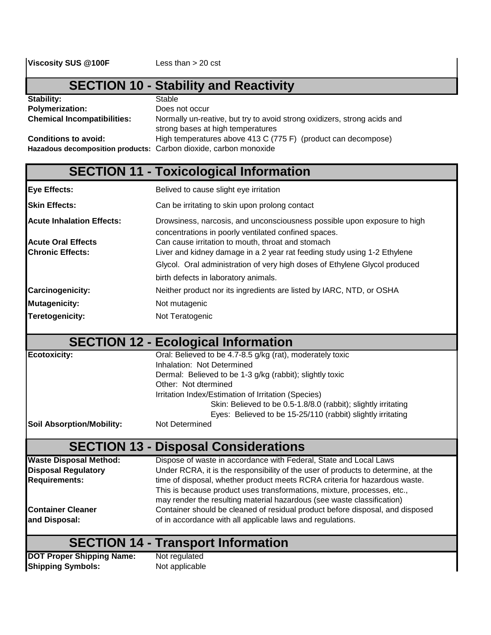# **SECTION 10 - Stability and Reactivity**

| Stability:                                                       | Stable                                                                                                        |
|------------------------------------------------------------------|---------------------------------------------------------------------------------------------------------------|
| <b>Polymerization:</b>                                           | Does not occur                                                                                                |
| <b>Chemical Incompatibilities:</b>                               | Normally un-reative, but try to avoid strong oxidizers, strong acids and<br>strong bases at high temperatures |
| <b>Conditions to avoid:</b>                                      | High temperatures above 413 C (775 F) (product can decompose)                                                 |
| Hazadous decomposition products: Carbon dioxide, carbon monoxide |                                                                                                               |

### **SECTION 11 - Toxicological Information**

| Eye Effects:                     | Belived to cause slight eye irritation                                                                                           |
|----------------------------------|----------------------------------------------------------------------------------------------------------------------------------|
| <b>Skin Effects:</b>             | Can be irritating to skin upon prolong contact                                                                                   |
| <b>Acute Inhalation Effects:</b> | Drowsiness, narcosis, and unconsciousness possible upon exposure to high<br>concentrations in poorly ventilated confined spaces. |
| <b>Acute Oral Effects</b>        | Can cause irritation to mouth, throat and stomach                                                                                |
| <b>Chronic Effects:</b>          | Liver and kidney damage in a 2 year rat feeding study using 1-2 Ethylene                                                         |
|                                  | Glycol. Oral administration of very high doses of Ethylene Glycol produced                                                       |
|                                  | birth defects in laboratory animals.                                                                                             |
| <b>Carcinogenicity:</b>          | Neither product nor its ingredients are listed by IARC, NTD, or OSHA                                                             |
| Mutagenicity:                    | Not mutagenic                                                                                                                    |
| Teretogenicity:                  | Not Teratogenic                                                                                                                  |

#### **SECTION 12 - Ecological Information**

| <b>Ecotoxicity:</b>              | Oral: Believed to be 4.7-8.5 g/kg (rat), moderately toxic      |
|----------------------------------|----------------------------------------------------------------|
|                                  | Inhalation: Not Determined                                     |
|                                  | Dermal: Believed to be 1-3 g/kg (rabbit); slightly toxic       |
|                                  | Other: Not dtermined                                           |
|                                  | Irritation Index/Estimation of Irritation (Species)            |
|                                  | Skin: Believed to be 0.5-1.8/8.0 (rabbit); slightly irritating |
|                                  | Eyes: Believed to be 15-25/110 (rabbit) slightly irritating    |
| <b>Soil Absorption/Mobility:</b> | Not Determined                                                 |
|                                  |                                                                |

# **SECTION 13 - Disposal Considerations**

| <b>Waste Disposal Method:</b>             | Dispose of waste in accordance with Federal, State and Local Laws                                                                                 |
|-------------------------------------------|---------------------------------------------------------------------------------------------------------------------------------------------------|
| <b>Disposal Regulatory</b>                | Under RCRA, it is the responsibility of the user of products to determine, at the                                                                 |
| <b>Requirements:</b>                      | time of disposal, whether product meets RCRA criteria for hazardous waste.                                                                        |
|                                           | This is because product uses transformations, mixture, processes, etc.,<br>may render the resulting material hazardous (see waste classification) |
| <b>Container Cleaner</b><br>and Disposal: | Container should be cleaned of residual product before disposal, and disposed<br>of in accordance with all applicable laws and regulations.       |
|                                           |                                                                                                                                                   |

#### **SECTION 14 - Transport Information**

**DOT Proper Shipping Name:** Not regulated **Shipping Symbols:** Not applicable